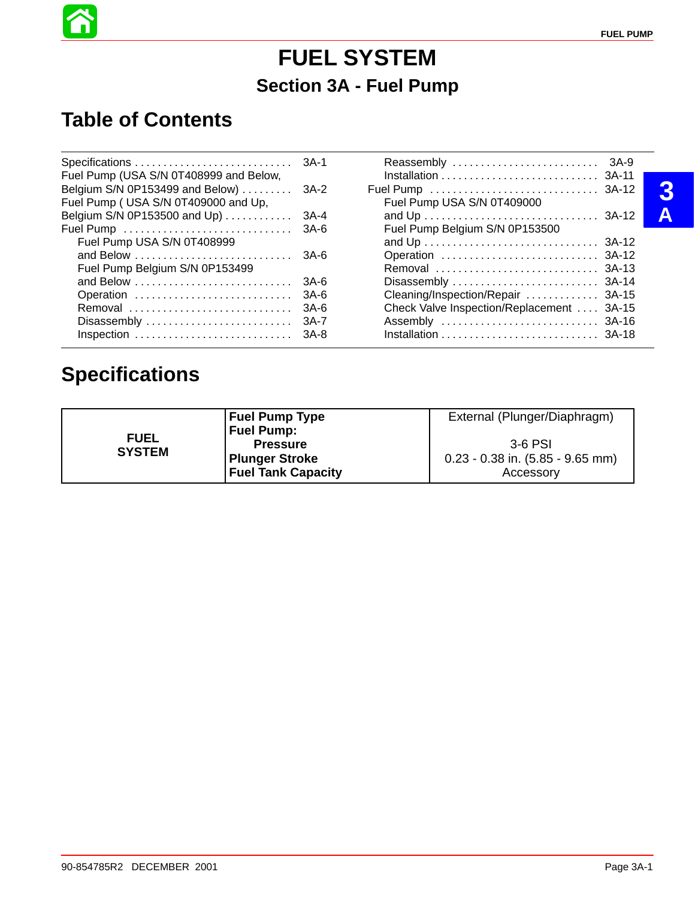# **FUEL SYSTEM Section 3A - Fuel Pump**

# **Table of Contents**

ñ

| Fuel Pump (USA S/N 0T408999 and Below,                                    |       |                                           |  |
|---------------------------------------------------------------------------|-------|-------------------------------------------|--|
| Belgium S/N 0P153499 and Below)  3A-2                                     |       |                                           |  |
| Fuel Pump (USA S/N 0T409000 and Up,                                       |       | Fuel Pump USA S/N 0T409000                |  |
| Belgium S/N 0P153500 and Up) $\dots\dots\dots$                            | 3A-4  |                                           |  |
|                                                                           |       | Fuel Pump Belgium S/N 0P153500            |  |
| Fuel Pump USA S/N 0T408999                                                |       |                                           |  |
|                                                                           |       |                                           |  |
| Fuel Pump Belgium S/N 0P153499                                            |       |                                           |  |
|                                                                           |       |                                           |  |
| Operation                                                                 | 3A-6  | Cleaning/Inspection/Repair  3A-15         |  |
| Removal                                                                   | 3A-6  | Check Valve Inspection/Replacement  3A-15 |  |
| Disassembly $\ldots \ldots \ldots \ldots \ldots \ldots \ldots$            | -3A-7 |                                           |  |
| Inspection $\ldots \ldots \ldots \ldots \ldots \ldots \ldots \ldots$ 3A-8 |       |                                           |  |

# **Specifications**

|                              | <b>Fuel Pump Type</b>     | External (Plunger/Diaphragm)         |
|------------------------------|---------------------------|--------------------------------------|
| <b>FUEL</b><br><b>SYSTEM</b> | <b>Fuel Pump:</b>         |                                      |
|                              | <b>Pressure</b>           | 3-6 PSI                              |
|                              | <b>Plunger Stroke</b>     | $0.23 - 0.38$ in. $(5.85 - 9.65$ mm) |
|                              | <b>Fuel Tank Capacity</b> | Accessory                            |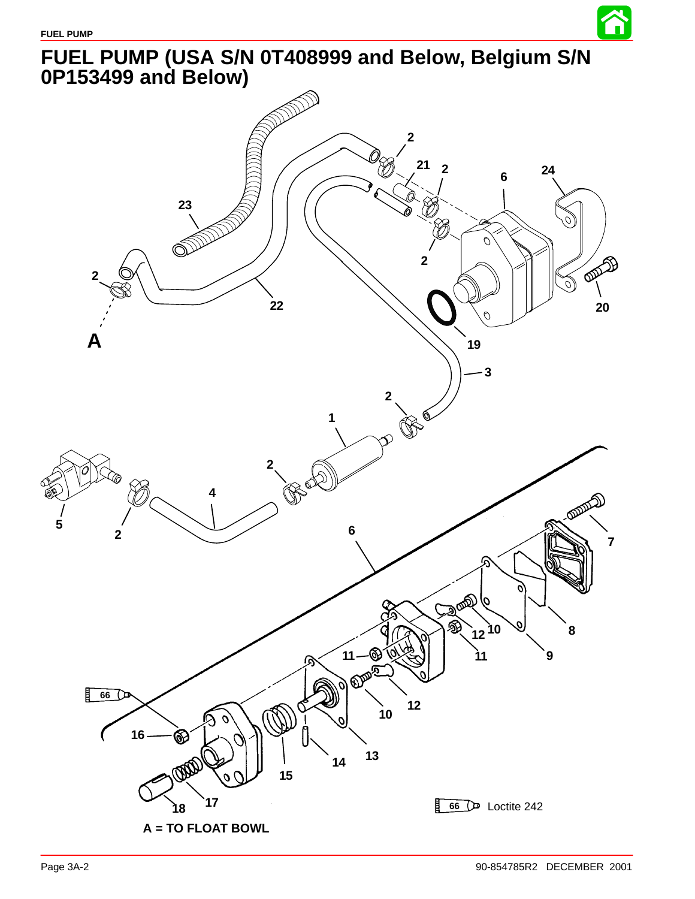

谷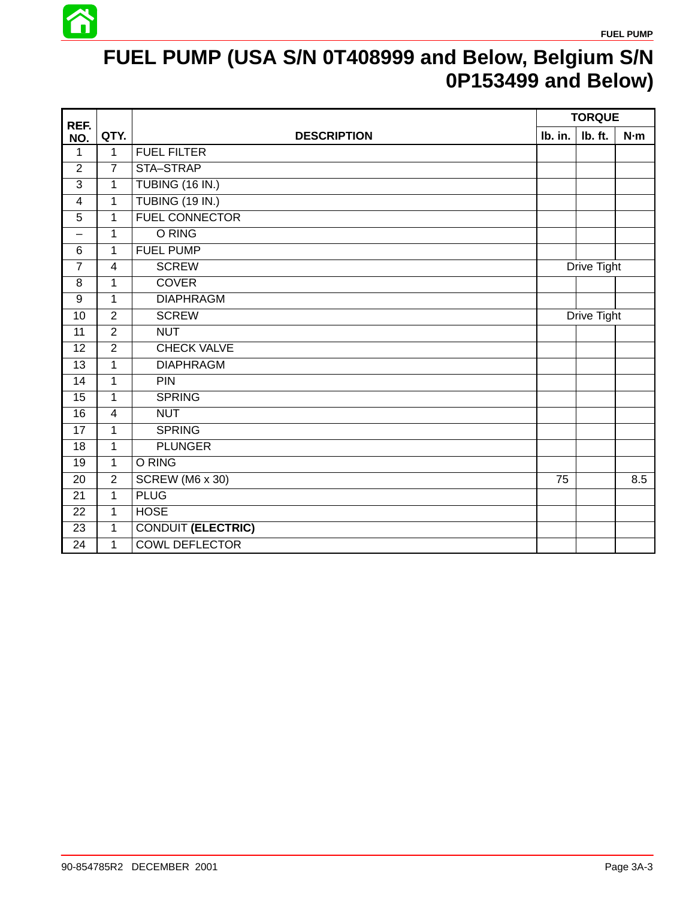

# **FUEL PUMP (USA S/N 0T408999 and Below, Belgium S/N 0P153499 and Below)**

| REF.                    |                |                           | <b>TORQUE</b> |             |     |
|-------------------------|----------------|---------------------------|---------------|-------------|-----|
| NO.                     | QTY.           | <b>DESCRIPTION</b>        | Ib. in.       | Ib. ft.     | N·m |
| 1                       | $\mathbf{1}$   | <b>FUEL FILTER</b>        |               |             |     |
| $\overline{2}$          | $\overline{7}$ | STA-STRAP                 |               |             |     |
| $\overline{3}$          | 1              | TUBING (16 IN.)           |               |             |     |
| $\overline{\mathbf{4}}$ | $\mathbf{1}$   | <b>TUBING (19 IN.)</b>    |               |             |     |
| 5                       | $\mathbf{1}$   | <b>FUEL CONNECTOR</b>     |               |             |     |
| —                       | 1              | O RING                    |               |             |     |
| $6\phantom{1}6$         | $\mathbf{1}$   | <b>FUEL PUMP</b>          |               |             |     |
| $\overline{7}$          | $\overline{4}$ | <b>SCREW</b>              | Drive Tight   |             |     |
| 8                       | 1              | <b>COVER</b>              |               |             |     |
| $\boldsymbol{9}$        | 1              | <b>DIAPHRAGM</b>          |               |             |     |
| 10                      | $\overline{2}$ | <b>SCREW</b>              |               | Drive Tight |     |
| 11                      | $\overline{2}$ | <b>NUT</b>                |               |             |     |
| 12                      | $\overline{2}$ | <b>CHECK VALVE</b>        |               |             |     |
| 13                      | $\mathbf{1}$   | <b>DIAPHRAGM</b>          |               |             |     |
| 14                      | $\mathbf{1}$   | PIN                       |               |             |     |
| 15                      | $\mathbf{1}$   | <b>SPRING</b>             |               |             |     |
| 16                      | $\overline{4}$ | <b>NUT</b>                |               |             |     |
| 17                      | $\mathbf{1}$   | <b>SPRING</b>             |               |             |     |
| 18                      | $\mathbf{1}$   | <b>PLUNGER</b>            |               |             |     |
| 19                      | $\mathbf{1}$   | O RING                    |               |             |     |
| 20                      | $\overline{2}$ | SCREW (M6 x 30)           | 75            |             | 8.5 |
| 21                      | $\overline{1}$ | <b>PLUG</b>               |               |             |     |
| 22                      | $\mathbf{1}$   | <b>HOSE</b>               |               |             |     |
| 23                      | $\mathbf 1$    | <b>CONDUIT (ELECTRIC)</b> |               |             |     |
| 24                      | $\mathbf{1}$   | <b>COWL DEFLECTOR</b>     |               |             |     |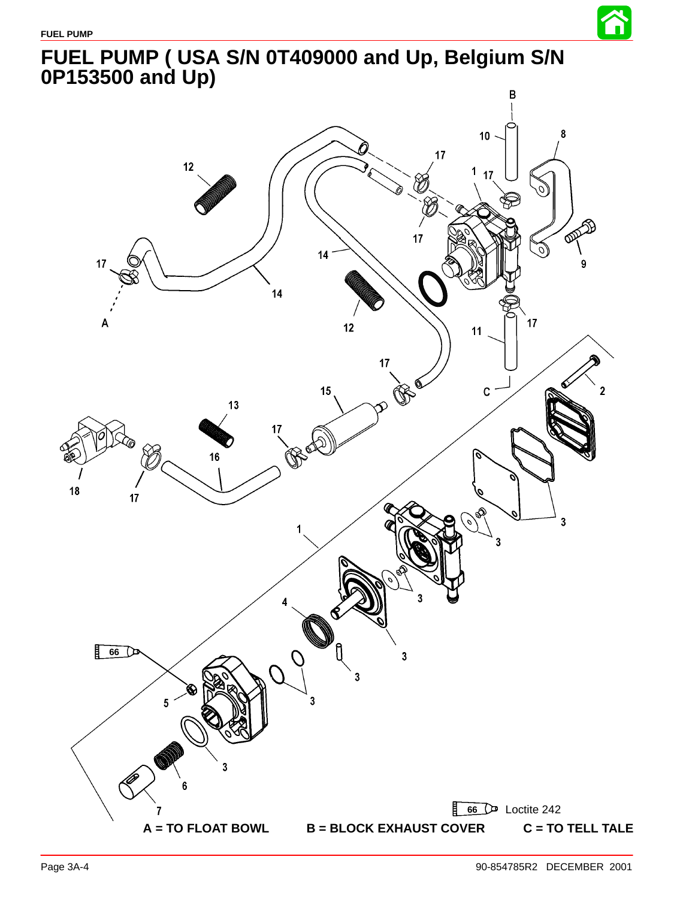

<span id="page-3-0"></span>**FUEL PUMP ( USA S/N 0T409000 and Up, Belgium S/N 0P153500 and Up)**

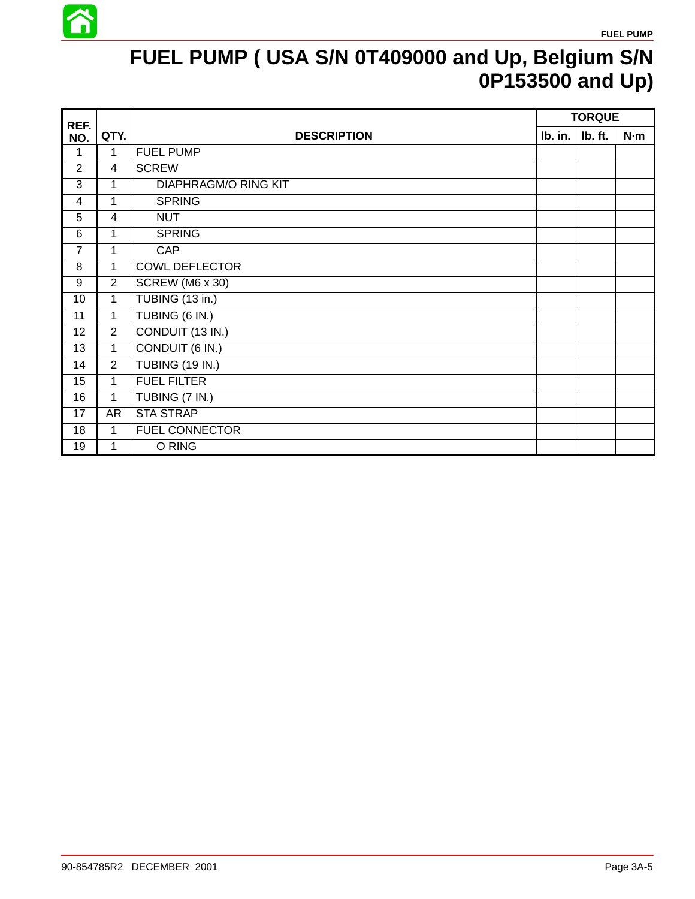

# **FUEL PUMP ( USA S/N 0T409000 and Up, Belgium S/N 0P153500 and Up)**

| REF.              |                |                             | <b>TORQUE</b> |         |     |
|-------------------|----------------|-----------------------------|---------------|---------|-----|
| NO.               | QTY.           | <b>DESCRIPTION</b>          | Ib. in.       | Ib. ft. | N·m |
| 1                 | $\mathbf 1$    | <b>FUEL PUMP</b>            |               |         |     |
| 2                 | $\overline{4}$ | <b>SCREW</b>                |               |         |     |
| 3                 | 1              | <b>DIAPHRAGM/O RING KIT</b> |               |         |     |
| 4                 | 1              | <b>SPRING</b>               |               |         |     |
| 5                 | $\overline{4}$ | <b>NUT</b>                  |               |         |     |
| 6                 | 1              | <b>SPRING</b>               |               |         |     |
| $\overline{7}$    | 1              | <b>CAP</b>                  |               |         |     |
| 8                 | 1              | <b>COWL DEFLECTOR</b>       |               |         |     |
| 9                 | $\overline{2}$ | SCREW (M6 x 30)             |               |         |     |
| 10                | $\mathbf{1}$   | TUBING (13 in.)             |               |         |     |
| 11                | $\mathbf{1}$   | TUBING (6 IN.)              |               |         |     |
| $12 \overline{ }$ | $\overline{2}$ | CONDUIT (13 IN.)            |               |         |     |
| 13                | $\mathbf{1}$   | CONDUIT (6 IN.)             |               |         |     |
| 14                | $\overline{2}$ | <b>TUBING (19 IN.)</b>      |               |         |     |
| 15                | 1              | <b>FUEL FILTER</b>          |               |         |     |
| 16                | $\mathbf{1}$   | TUBING (7 IN.)              |               |         |     |
| 17                | AR             | <b>STA STRAP</b>            |               |         |     |
| 18                | 1              | <b>FUEL CONNECTOR</b>       |               |         |     |
| 19                | 1              | O RING                      |               |         |     |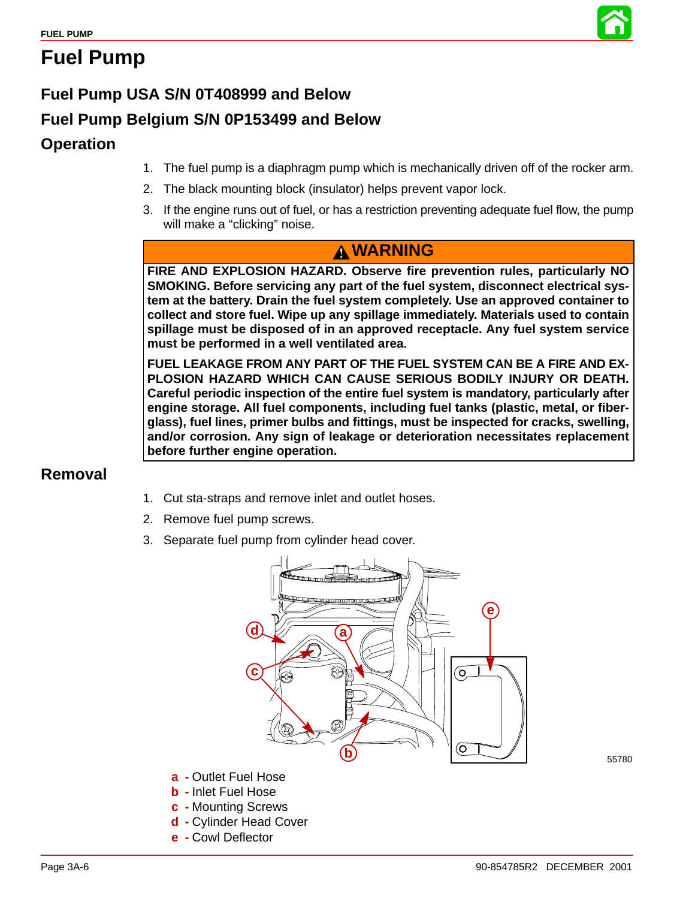

# **Fuel Pump**

# **Fuel Pump USA S/N 0T408999 and Below**

# **Fuel Pump Belgium S/N 0P153499 and Below**

### **Operation**

- 1. The fuel pump is a diaphragm pump which is mechanically driven off of the rocker arm.
- 2. The black mounting block (insulator) helps prevent vapor lock.
- 3. If the engine runs out of fuel, or has a restriction preventing adequate fuel flow, the pump will make a "clicking" noise.

### **WARNING**

**FIRE AND EXPLOSION HAZARD. Observe fire prevention rules, particularly NO SMOKING. Before servicing any part of the fuel system, disconnect electrical system at the battery. Drain the fuel system completely. Use an approved container to collect and store fuel. Wipe up any spillage immediately. Materials used to contain spillage must be disposed of in an approved receptacle. Any fuel system service must be performed in a well ventilated area.**

**FUEL LEAKAGE FROM ANY PART OF THE FUEL SYSTEM CAN BE A FIRE AND EX-PLOSION HAZARD WHICH CAN CAUSE SERIOUS BODILY INJURY OR DEATH. Careful periodic inspection of the entire fuel system is mandatory, particularly after engine storage. All fuel components, including fuel tanks (plastic, metal, or fiberglass), fuel lines, primer bulbs and fittings, must be inspected for cracks, swelling, and/or corrosion. Any sign of leakage or deterioration necessitates replacement before further engine operation.**

### **Removal**

- 1. Cut sta-straps and remove inlet and outlet hoses.
- 2. Remove fuel pump screws.
- 3. Separate fuel pump from cylinder head cover.



- **a -** Outlet Fuel Hose
- **b -** Inlet Fuel Hose
- **c -** Mounting Screws
- **d -** Cylinder Head Cover
- **e -** Cowl Deflector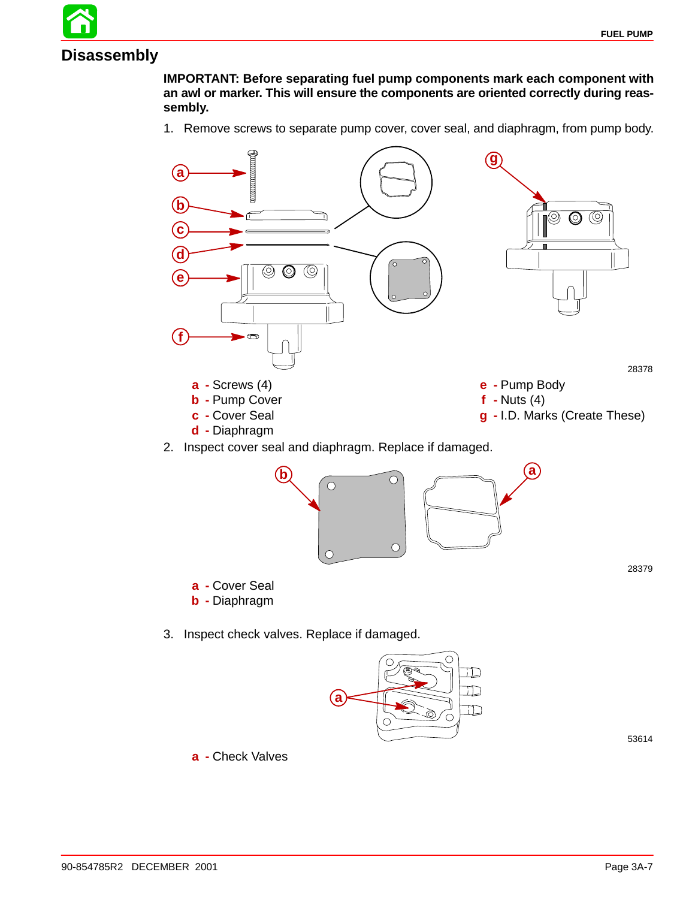**Disassembly**

**IMPORTANT: Before separating fuel pump components mark each component with an awl or marker. This will ensure the components are oriented correctly during reassembly.**

1. Remove screws to separate pump cover, cover seal, and diaphragm, from pump body.





**a**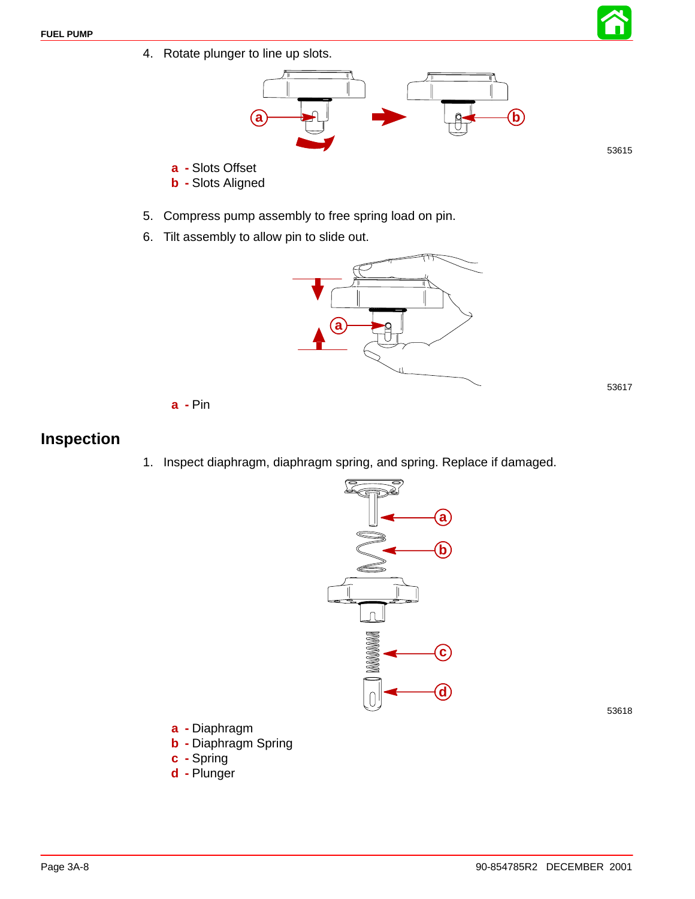4. Rotate plunger to line up slots.



**a -** Slots Offset

- **b -** Slots Aligned
- 5. Compress pump assembly to free spring load on pin.
- 6. Tilt assembly to allow pin to slide out.



**a -** Pin

### **Inspection**

1. Inspect diaphragm, diaphragm spring, and spring. Replace if damaged.



53618

53615

53617

#### **a -** Diaphragm

- **b -** Diaphragm Spring
- **c -** Spring
- **d -** Plunger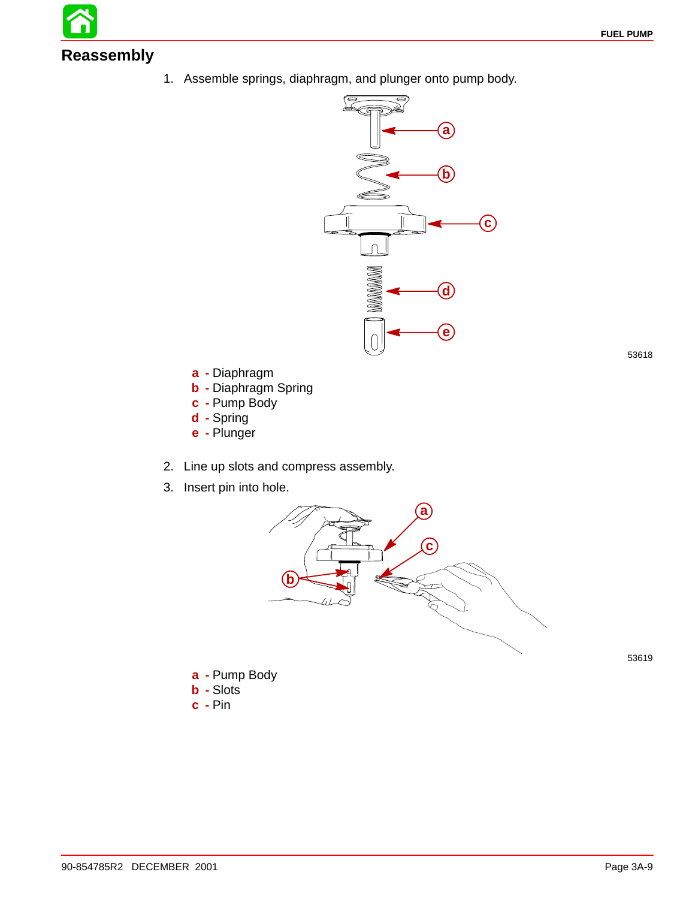# **Reassembly**

1. Assemble springs, diaphragm, and plunger onto pump body.



- **a -** Diaphragm
- **b -** Diaphragm Spring
- **c -** Pump Body
- **d -** Spring
- **e -** Plunger
- 2. Line up slots and compress assembly.
- 3. Insert pin into hole.



53619

- **a -** Pump Body **b -** Slots
- **c -** Pin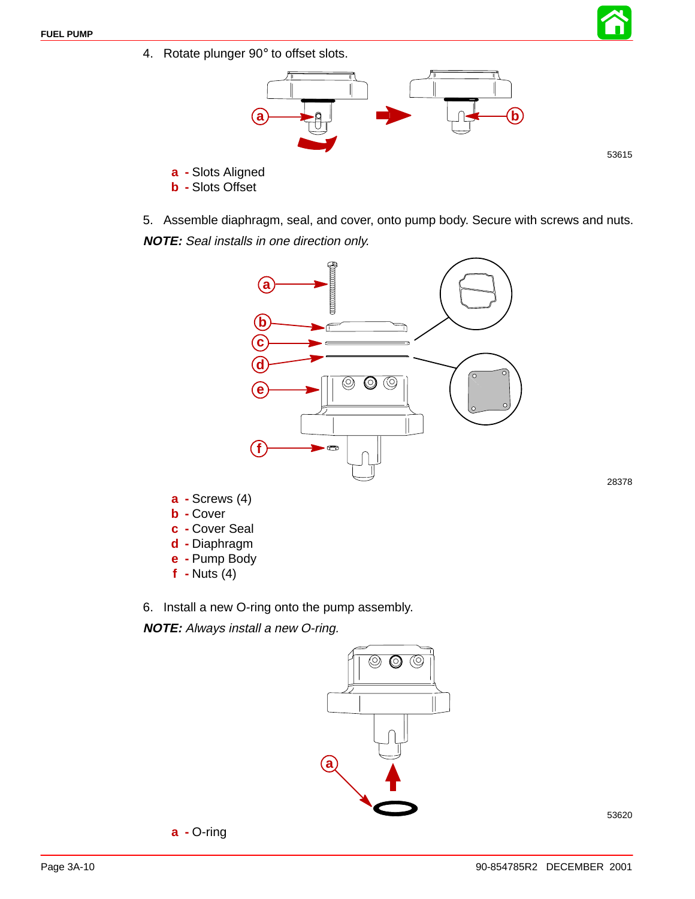4. Rotate plunger 90° to offset slots.



53615

28378

- **a -** Slots Aligned **b -** Slots Offset
- 5. Assemble diaphragm, seal, and cover, onto pump body. Secure with screws and nuts. **NOTE:** Seal installs in one direction only.



- **f -** Nuts (4)
- 6. Install a new O-ring onto the pump assembly.

**NOTE:** Always install a new O-ring.

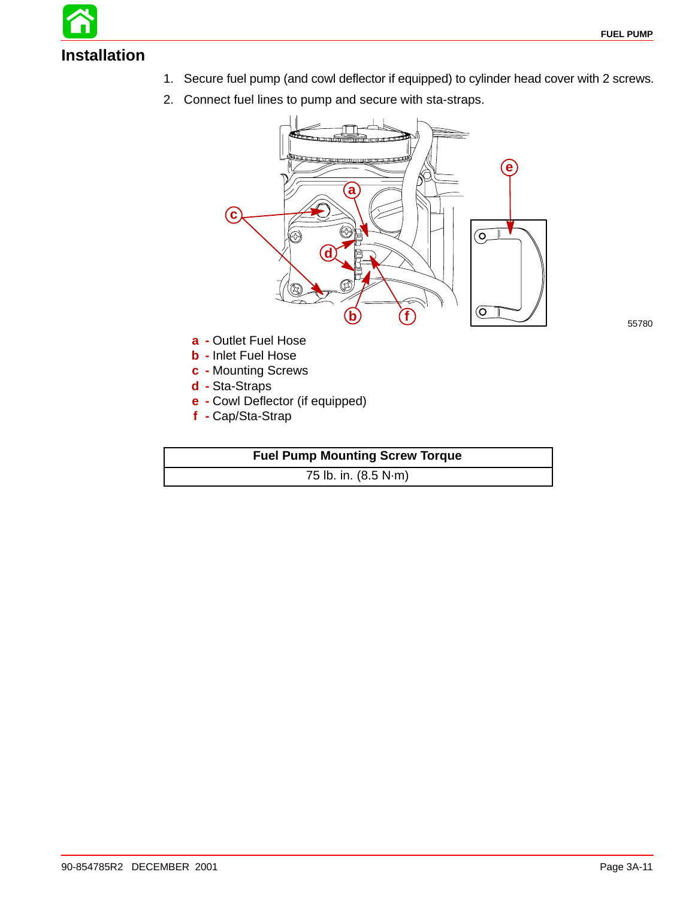# **Installation**

- 1. Secure fuel pump (and cowl deflector if equipped) to cylinder head cover with 2 screws.
- 2. Connect fuel lines to pump and secure with sta-straps.



55780

- **a -** Outlet Fuel Hose
- **b -** Inlet Fuel Hose
- **c -** Mounting Screws
- **d -** Sta-Straps
- **e -** Cowl Deflector (if equipped)
- **f -** Cap/Sta-Strap

#### **Fuel Pump Mounting Screw Torque**

75 lb. in. (8.5 N·m)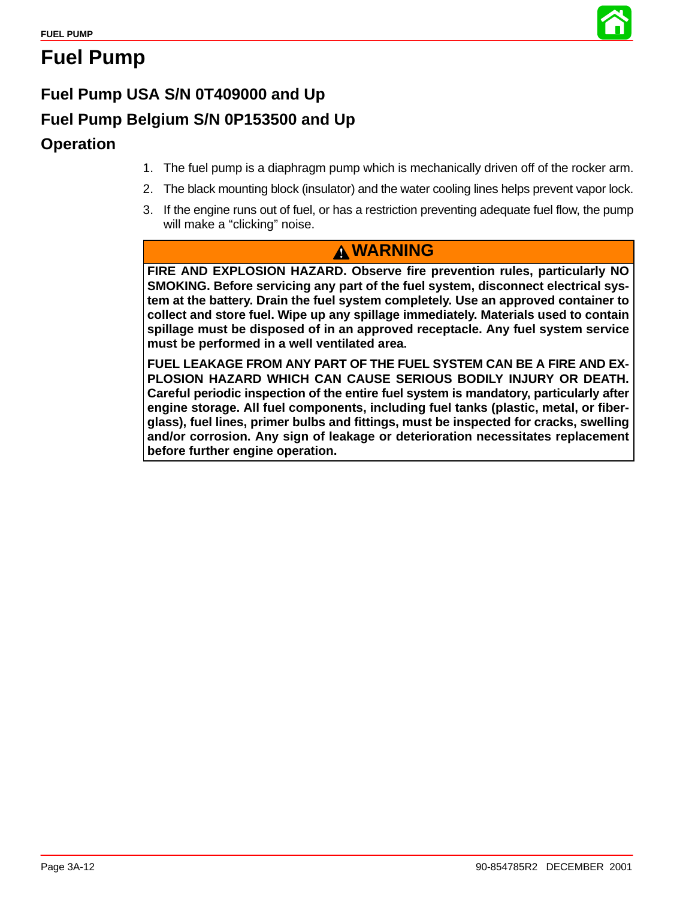

# **Fuel Pump**

# **Fuel Pump USA S/N 0T409000 and Up**

# **Fuel Pump Belgium S/N 0P153500 and Up**

### **Operation**

- 1. The fuel pump is a diaphragm pump which is mechanically driven off of the rocker arm.
- 2. The black mounting block (insulator) and the water cooling lines helps prevent vapor lock.
- 3. If the engine runs out of fuel, or has a restriction preventing adequate fuel flow, the pump will make a "clicking" noise.

### **WARNING**

**FIRE AND EXPLOSION HAZARD. Observe fire prevention rules, particularly NO SMOKING. Before servicing any part of the fuel system, disconnect electrical system at the battery. Drain the fuel system completely. Use an approved container to collect and store fuel. Wipe up any spillage immediately. Materials used to contain spillage must be disposed of in an approved receptacle. Any fuel system service must be performed in a well ventilated area.**

**FUEL LEAKAGE FROM ANY PART OF THE FUEL SYSTEM CAN BE A FIRE AND EX-PLOSION HAZARD WHICH CAN CAUSE SERIOUS BODILY INJURY OR DEATH. Careful periodic inspection of the entire fuel system is mandatory, particularly after engine storage. All fuel components, including fuel tanks (plastic, metal, or fiberglass), fuel lines, primer bulbs and fittings, must be inspected for cracks, swelling and/or corrosion. Any sign of leakage or deterioration necessitates replacement before further engine operation.**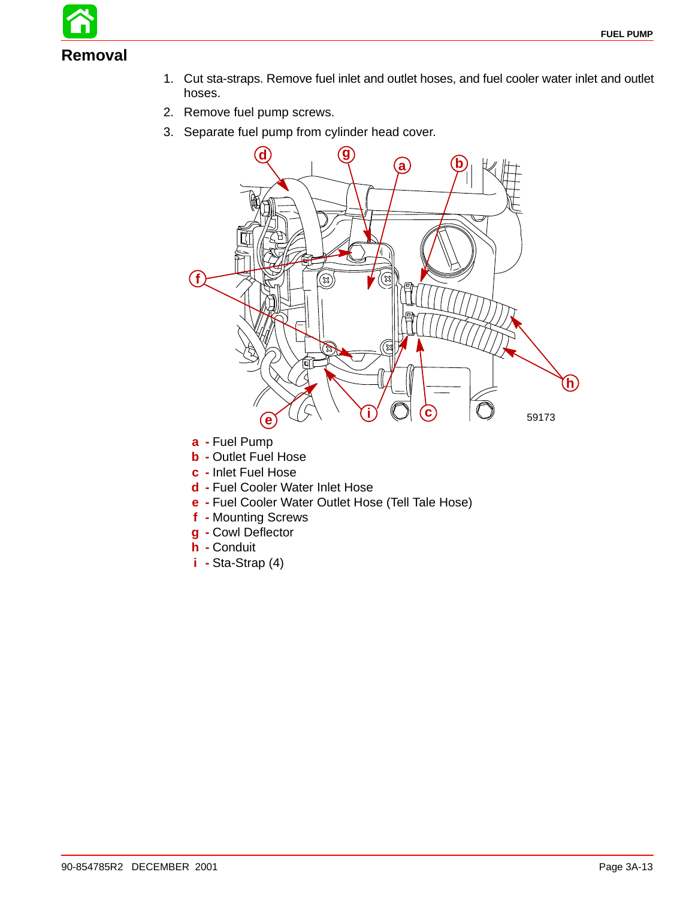

- 1. Cut sta-straps. Remove fuel inlet and outlet hoses, and fuel cooler water inlet and outlet hoses.
- 2. Remove fuel pump screws.
- 3. Separate fuel pump from cylinder head cover.



- **a -** Fuel Pump
- **b -** Outlet Fuel Hose
- **c -** Inlet Fuel Hose
- **d -** Fuel Cooler Water Inlet Hose
- **e -** Fuel Cooler Water Outlet Hose (Tell Tale Hose)
- **f -** Mounting Screws
- **g -** Cowl Deflector
- **h -** Conduit
- **i -** Sta-Strap (4)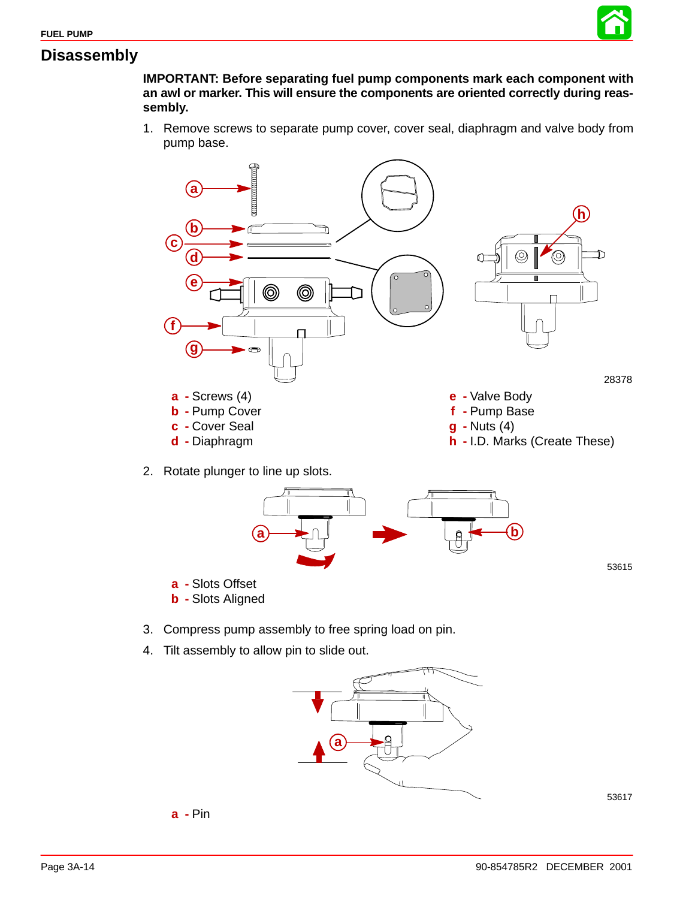

#### **Disassembly**

**IMPORTANT: Before separating fuel pump components mark each component with an awl or marker. This will ensure the components are oriented correctly during reassembly.**

1. Remove screws to separate pump cover, cover seal, diaphragm and valve body from pump base.





- 3. Compress pump assembly to free spring load on pin.
- 4. Tilt assembly to allow pin to slide out.

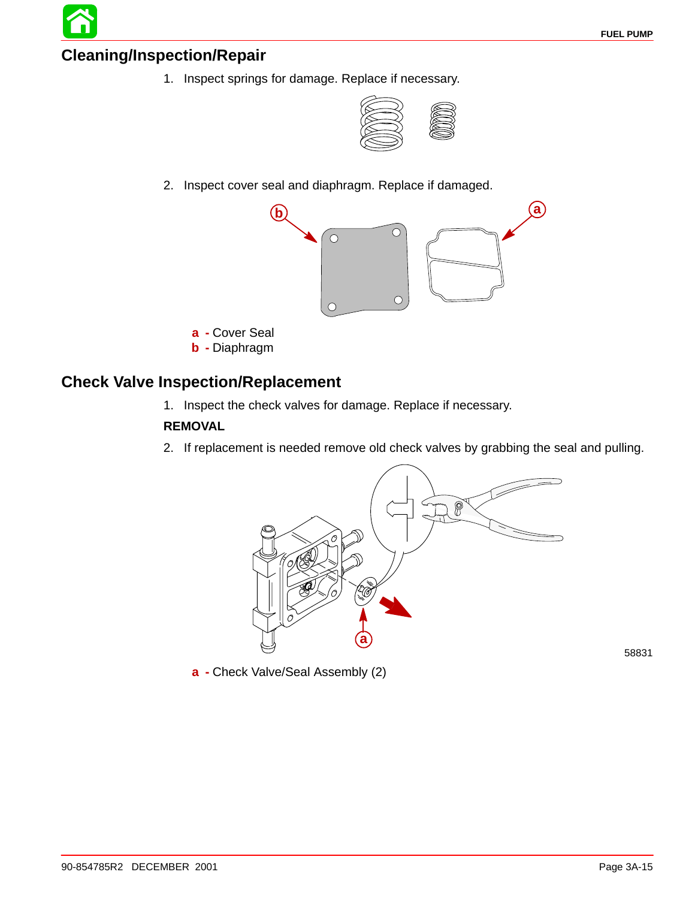#### **Cleaning/Inspection/Repair**

1. Inspect springs for damage. Replace if necessary.



2. Inspect cover seal and diaphragm. Replace if damaged.



- **a -** Cover Seal
- **b -** Diaphragm

#### **Check Valve Inspection/Replacement**

1. Inspect the check valves for damage. Replace if necessary.

#### **REMOVAL**

2. If replacement is needed remove old check valves by grabbing the seal and pulling.



**a -** Check Valve/Seal Assembly (2)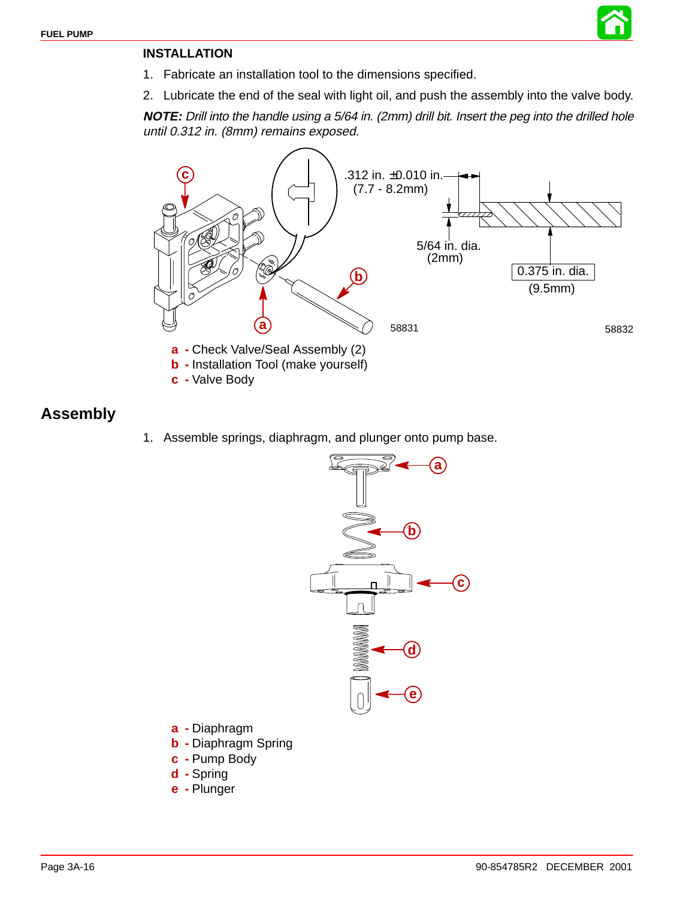

- 1. Fabricate an installation tool to the dimensions specified.
- 2. Lubricate the end of the seal with light oil, and push the assembly into the valve body.

**NOTE:** Drill into the handle using a 5/64 in. (2mm) drill bit. Insert the peg into the drilled hole until 0.312 in. (8mm) remains exposed.



#### **Assembly**

1. Assemble springs, diaphragm, and plunger onto pump base.



- **a -** Diaphragm
- **b -** Diaphragm Spring
- **c -** Pump Body
- **d -** Spring
- **e -** Plunger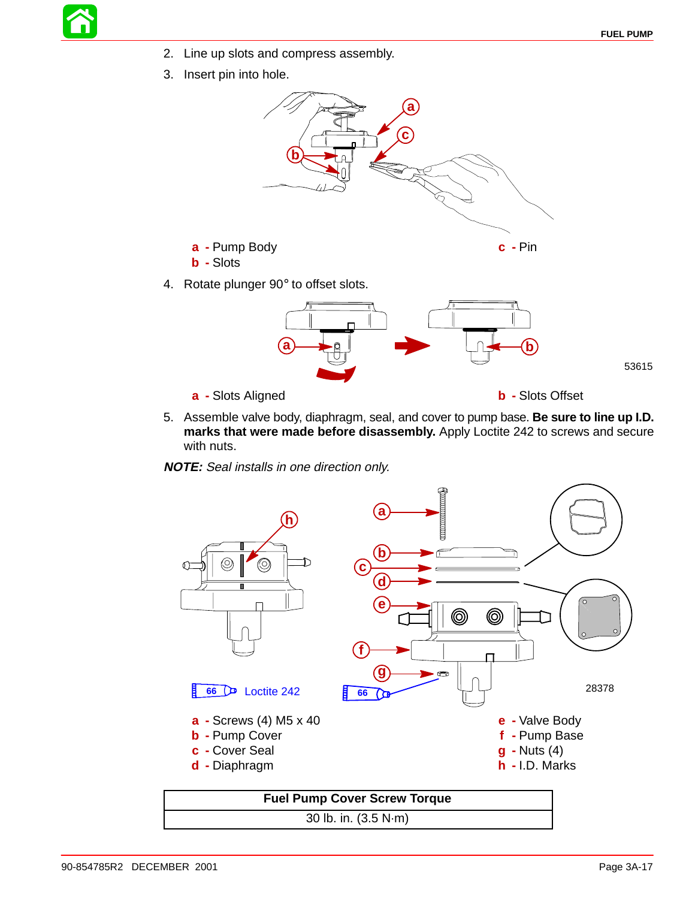53615

- 2. Line up slots and compress assembly.
- 3. Insert pin into hole.





- 5. Assemble valve body, diaphragm, seal, and cover to pump base. **Be sure to line up I.D. marks that were made before disassembly.** Apply Loctite 242 to screws and secure with nuts.
- **NOTE:** Seal installs in one direction only.



30 lb. in. (3.5 N·m)